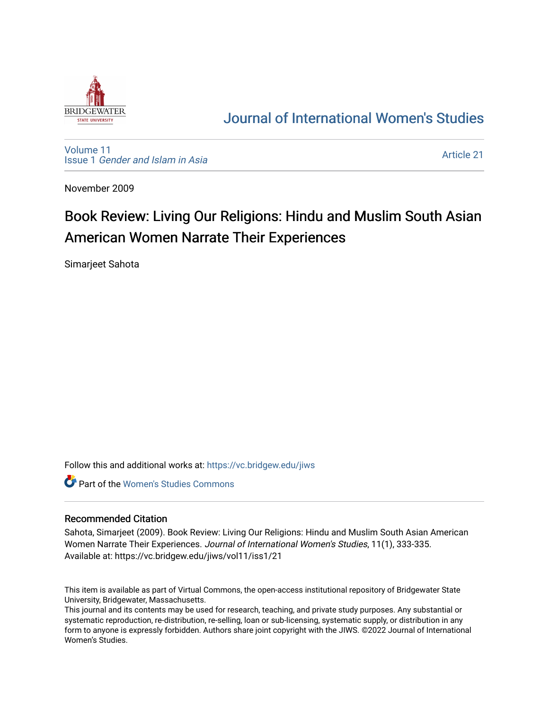

## [Journal of International Women's Studies](https://vc.bridgew.edu/jiws)

[Volume 11](https://vc.bridgew.edu/jiws/vol11) Issue 1 [Gender and Islam in Asia](https://vc.bridgew.edu/jiws/vol11/iss1)

[Article 21](https://vc.bridgew.edu/jiws/vol11/iss1/21) 

November 2009

# Book Review: Living Our Religions: Hindu and Muslim South Asian American Women Narrate Their Experiences

Simarjeet Sahota

Follow this and additional works at: [https://vc.bridgew.edu/jiws](https://vc.bridgew.edu/jiws?utm_source=vc.bridgew.edu%2Fjiws%2Fvol11%2Fiss1%2F21&utm_medium=PDF&utm_campaign=PDFCoverPages)

**C** Part of the Women's Studies Commons

#### Recommended Citation

Sahota, Simarjeet (2009). Book Review: Living Our Religions: Hindu and Muslim South Asian American Women Narrate Their Experiences. Journal of International Women's Studies, 11(1), 333-335. Available at: https://vc.bridgew.edu/jiws/vol11/iss1/21

This item is available as part of Virtual Commons, the open-access institutional repository of Bridgewater State University, Bridgewater, Massachusetts.

This journal and its contents may be used for research, teaching, and private study purposes. Any substantial or systematic reproduction, re-distribution, re-selling, loan or sub-licensing, systematic supply, or distribution in any form to anyone is expressly forbidden. Authors share joint copyright with the JIWS. ©2022 Journal of International Women's Studies.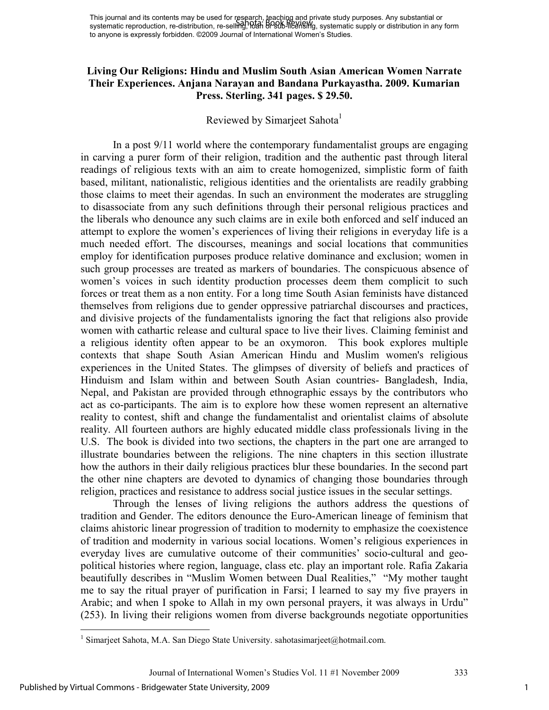### **Living Our Religions: Hindu and Muslim South Asian American Women Narrate Their Experiences. Anjana Narayan and Bandana Purkayastha. 2009. Kumarian Press. Sterling. 341 pages. \$ 29.50.**

## Reviewed by Simarjeet Sahota<sup>1</sup>

In a post 9/11 world where the contemporary fundamentalist groups are engaging in carving a purer form of their religion, tradition and the authentic past through literal readings of religious texts with an aim to create homogenized, simplistic form of faith based, militant, nationalistic, religious identities and the orientalists are readily grabbing those claims to meet their agendas. In such an environment the moderates are struggling to disassociate from any such definitions through their personal religious practices and the liberals who denounce any such claims are in exile both enforced and self induced an attempt to explore the women's experiences of living their religions in everyday life is a much needed effort. The discourses, meanings and social locations that communities employ for identification purposes produce relative dominance and exclusion; women in such group processes are treated as markers of boundaries. The conspicuous absence of women's voices in such identity production processes deem them complicit to such forces or treat them as a non entity. For a long time South Asian feminists have distanced themselves from religions due to gender oppressive patriarchal discourses and practices, and divisive projects of the fundamentalists ignoring the fact that religions also provide women with cathartic release and cultural space to live their lives. Claiming feminist and a religious identity often appear to be an oxymoron. This book explores multiple contexts that shape South Asian American Hindu and Muslim women's religious experiences in the United States. The glimpses of diversity of beliefs and practices of Hinduism and Islam within and between South Asian countries- Bangladesh, India, Nepal, and Pakistan are provided through ethnographic essays by the contributors who act as co-participants. The aim is to explore how these women represent an alternative reality to contest, shift and change the fundamentalist and orientalist claims of absolute reality. All fourteen authors are highly educated middle class professionals living in the U.S. The book is divided into two sections, the chapters in the part one are arranged to illustrate boundaries between the religions. The nine chapters in this section illustrate how the authors in their daily religious practices blur these boundaries. In the second part the other nine chapters are devoted to dynamics of changing those boundaries through religion, practices and resistance to address social justice issues in the secular settings.

Through the lenses of living religions the authors address the questions of tradition and Gender. The editors denounce the Euro-American lineage of feminism that claims ahistoric linear progression of tradition to modernity to emphasize the coexistence of tradition and modernity in various social locations. Women's religious experiences in everyday lives are cumulative outcome of their communities' socio-cultural and geopolitical histories where region, language, class etc. play an important role. Rafia Zakaria beautifully describes in "Muslim Women between Dual Realities," "My mother taught me to say the ritual prayer of purification in Farsi; I learned to say my five prayers in Arabic; and when I spoke to Allah in my own personal prayers, it was always in Urdu" (253). In living their religions women from diverse backgrounds negotiate opportunities

 1 Simarjeet Sahota, M.A. San Diego State University. sahotasimarjeet@hotmail.com.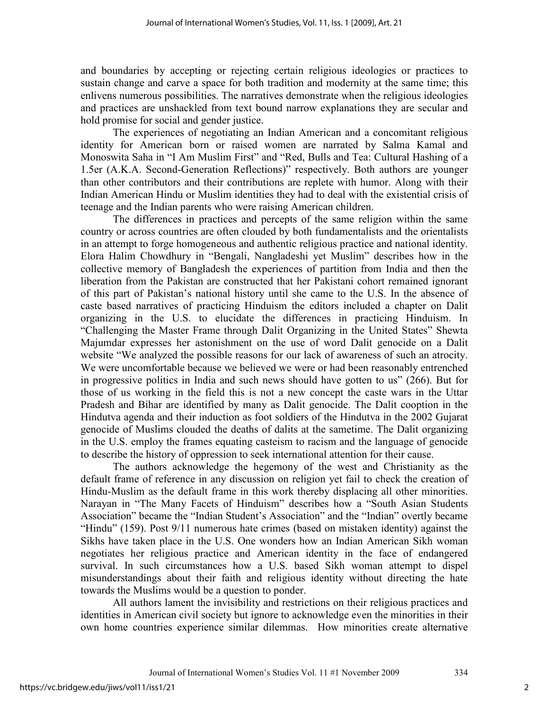and boundaries by accepting or rejecting certain religious ideologies or practices to sustain change and carve a space for both tradition and modernity at the same time; this enlivens numerous possibilities. The narratives demonstrate when the religious ideologies and practices are unshackled from text bound narrow explanations they are secular and hold promise for social and gender justice.

The experiences of negotiating an Indian American and a concomitant religious identity for American born or raised women are narrated by Salma Kamal and Monoswita Saha in "I Am Muslim First" and "Red, Bulls and Tea: Cultural Hashing of a 1.5er (A.K.A. Second-Generation Reflections)" respectively. Both authors are younger than other contributors and their contributions are replete with humor. Along with their Indian American Hindu or Muslim identities they had to deal with the existential crisis of teenage and the Indian parents who were raising American children.

The differences in practices and percepts of the same religion within the same country or across countries are often clouded by both fundamentalists and the orientalists in an attempt to forge homogeneous and authentic religious practice and national identity. Elora Halim Chowdhury in "Bengali, Nangladeshi yet Muslim" describes how in the collective memory of Bangladesh the experiences of partition from India and then the liberation from the Pakistan are constructed that her Pakistani cohort remained ignorant of this part of Pakistan's national history until she came to the U.S. In the absence of caste based narratives of practicing Hinduism the editors included a chapter on Dalit organizing in the U.S. to elucidate the differences in practicing Hinduism. In "Challenging the Master Frame through Dalit Organizing in the United States" Shewta Majumdar expresses her astonishment on the use of word Dalit genocide on a Dalit website "We analyzed the possible reasons for our lack of awareness of such an atrocity. We were uncomfortable because we believed we were or had been reasonably entrenched in progressive politics in India and such news should have gotten to us" (266). But for those of us working in the field this is not a new concept the caste wars in the Uttar Pradesh and Bihar are identified by many as Dalit genocide. The Dalit cooption in the Hindutva agenda and their induction as foot soldiers of the Hindutva in the 2002 Gujarat genocide of Muslims clouded the deaths of dalits at the sametime. The Dalit organizing in the U.S. employ the frames equating casteism to racism and the language of genocide to describe the history of oppression to seek international attention for their cause.

The authors acknowledge the hegemony of the west and Christianity as the default frame of reference in any discussion on religion yet fail to check the creation of Hindu-Muslim as the default frame in this work thereby displacing all other minorities. Narayan in "The Many Facets of Hinduism" describes how a "South Asian Students Association" became the "Indian Student's Association" and the "Indian" overtly became "Hindu" (159). Post 9/11 numerous hate crimes (based on mistaken identity) against the Sikhs have taken place in the U.S. One wonders how an Indian American Sikh woman negotiates her religious practice and American identity in the face of endangered survival. In such circumstances how a U.S. based Sikh woman attempt to dispel misunderstandings about their faith and religious identity without directing the hate towards the Muslims would be a question to ponder.

All authors lament the invisibility and restrictions on their religious practices and identities in American civil society but ignore to acknowledge even the minorities in their own home countries experience similar dilemmas. How minorities create alternative